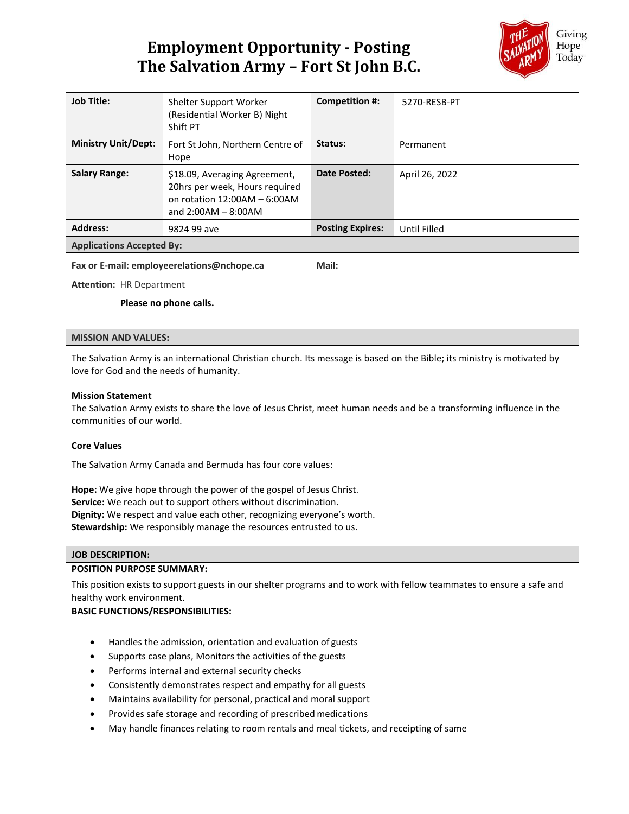## **Employment Opportunity - Posting The Salvation Army – Fort St John B.C.**



| <b>Job Title:</b>                                                                                                                                                                                                                                                                                                                                                                                                                                                                                                                                                                                                                                                                                                                                              | Shelter Support Worker<br>(Residential Worker B) Night<br>Shift PT                                                       | <b>Competition #:</b>   | 5270-RESB-PT        |
|----------------------------------------------------------------------------------------------------------------------------------------------------------------------------------------------------------------------------------------------------------------------------------------------------------------------------------------------------------------------------------------------------------------------------------------------------------------------------------------------------------------------------------------------------------------------------------------------------------------------------------------------------------------------------------------------------------------------------------------------------------------|--------------------------------------------------------------------------------------------------------------------------|-------------------------|---------------------|
| <b>Ministry Unit/Dept:</b>                                                                                                                                                                                                                                                                                                                                                                                                                                                                                                                                                                                                                                                                                                                                     | Fort St John, Northern Centre of<br>Hope                                                                                 | Status:                 | Permanent           |
| <b>Salary Range:</b>                                                                                                                                                                                                                                                                                                                                                                                                                                                                                                                                                                                                                                                                                                                                           | \$18.09, Averaging Agreement,<br>20hrs per week, Hours required<br>on rotation $12:00AM - 6:00AM$<br>and 2:00AM - 8:00AM | <b>Date Posted:</b>     | April 26, 2022      |
| <b>Address:</b>                                                                                                                                                                                                                                                                                                                                                                                                                                                                                                                                                                                                                                                                                                                                                | 9824 99 ave                                                                                                              | <b>Posting Expires:</b> | <b>Until Filled</b> |
| <b>Applications Accepted By:</b>                                                                                                                                                                                                                                                                                                                                                                                                                                                                                                                                                                                                                                                                                                                               |                                                                                                                          |                         |                     |
| Fax or E-mail: employeerelations@nchope.ca                                                                                                                                                                                                                                                                                                                                                                                                                                                                                                                                                                                                                                                                                                                     |                                                                                                                          | Mail:                   |                     |
| <b>Attention: HR Department</b>                                                                                                                                                                                                                                                                                                                                                                                                                                                                                                                                                                                                                                                                                                                                |                                                                                                                          |                         |                     |
| Please no phone calls.                                                                                                                                                                                                                                                                                                                                                                                                                                                                                                                                                                                                                                                                                                                                         |                                                                                                                          |                         |                     |
|                                                                                                                                                                                                                                                                                                                                                                                                                                                                                                                                                                                                                                                                                                                                                                |                                                                                                                          |                         |                     |
| <b>MISSION AND VALUES:</b>                                                                                                                                                                                                                                                                                                                                                                                                                                                                                                                                                                                                                                                                                                                                     |                                                                                                                          |                         |                     |
| The Salvation Army is an international Christian church. Its message is based on the Bible; its ministry is motivated by<br>love for God and the needs of humanity.<br><b>Mission Statement</b><br>The Salvation Army exists to share the love of Jesus Christ, meet human needs and be a transforming influence in the<br>communities of our world.<br><b>Core Values</b><br>The Salvation Army Canada and Bermuda has four core values:<br>Hope: We give hope through the power of the gospel of Jesus Christ.<br>Service: We reach out to support others without discrimination.<br>Dignity: We respect and value each other, recognizing everyone's worth.<br>Stewardship: We responsibly manage the resources entrusted to us.<br><b>JOB DESCRIPTION:</b> |                                                                                                                          |                         |                     |
| <b>POSITION PURPOSE SUMMARY:</b>                                                                                                                                                                                                                                                                                                                                                                                                                                                                                                                                                                                                                                                                                                                               |                                                                                                                          |                         |                     |
| This position exists to support guests in our shelter programs and to work with fellow teammates to ensure a safe and<br>healthy work environment.                                                                                                                                                                                                                                                                                                                                                                                                                                                                                                                                                                                                             |                                                                                                                          |                         |                     |
| <b>BASIC FUNCTIONS/RESPONSIBILITIES:</b>                                                                                                                                                                                                                                                                                                                                                                                                                                                                                                                                                                                                                                                                                                                       |                                                                                                                          |                         |                     |
| Handles the admission, orientation and evaluation of guests<br>٠<br>Supports case plans, Monitors the activities of the guests<br>$\bullet$<br>Performs internal and external security checks<br>Consistently demonstrates respect and empathy for all guests<br>Maintains availability for personal, practical and moral support<br>$\bullet$                                                                                                                                                                                                                                                                                                                                                                                                                 |                                                                                                                          |                         |                     |

- Provides safe storage and recording of prescribed medications
- May handle finances relating to room rentals and meal tickets, and receipting of same